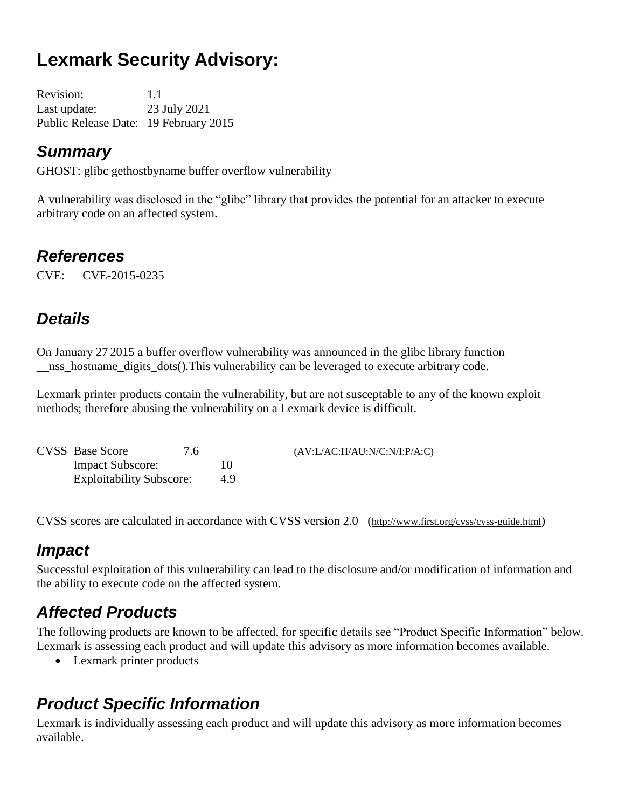# **Lexmark Security Advisory:**

Revision: 1.1 Last update: 23 July 2021 Public Release Date: 19 February 2015

### *Summary*

GHOST: glibc gethostbyname buffer overflow vulnerability

A vulnerability was disclosed in the "glibc" library that provides the potential for an attacker to execute arbitrary code on an affected system.

### *References*

CVE: CVE-2015-0235

## *Details*

On January 27 2015 a buffer overflow vulnerability was announced in the glibc library function nss hostname digits dots(). This vulnerability can be leveraged to execute arbitrary code.

Lexmark printer products contain the vulnerability, but are not susceptable to any of the known exploit methods; therefore abusing the vulnerability on a Lexmark device is difficult.

| <b>CVSS</b> Base Score          | 7.6 |    | (AV:L/AC:H/AU:N/C:N/I:P/A:C) |
|---------------------------------|-----|----|------------------------------|
| <b>Impact Subscore:</b>         |     |    |                              |
| <b>Exploitability Subscore:</b> |     | 49 |                              |

CVSS scores are calculated in accordance with CVSS version 2.0 (http://www.first.org/cvss/cvss-guide.html)

### *Impact*

Successful exploitation of this vulnerability can lead to the disclosure and/or modification of information and the ability to execute code on the affected system.

## *Affected Products*

The following products are known to be affected, for specific details see "Product Specific Information" below. Lexmark is assessing each product and will update this advisory as more information becomes available.

• Lexmark printer products

## *Product Specific Information*

Lexmark is individually assessing each product and will update this advisory as more information becomes available.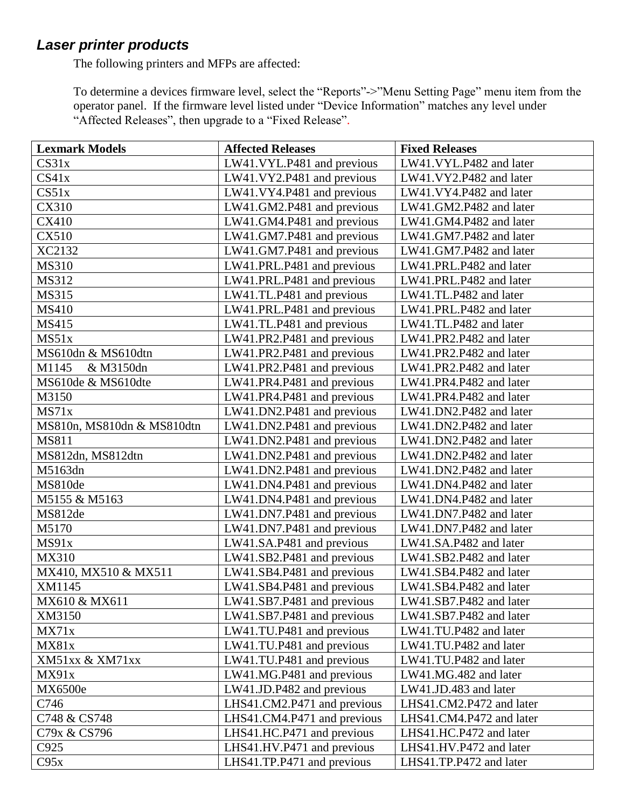### *Laser printer products*

The following printers and MFPs are affected:

To determine a devices firmware level, select the "Reports"->"Menu Setting Page" menu item from the operator panel. If the firmware level listed under "Device Information" matches any level under "Affected Releases", then upgrade to a "Fixed Release".

| <b>Lexmark Models</b>      | <b>Affected Releases</b>    | <b>Fixed Releases</b>    |
|----------------------------|-----------------------------|--------------------------|
| CS31x                      | LW41.VYL.P481 and previous  | LW41.VYL.P482 and later  |
| CS41x                      | LW41.VY2.P481 and previous  | LW41.VY2.P482 and later  |
| CS51x                      | LW41.VY4.P481 and previous  | LW41.VY4.P482 and later  |
| CX310                      | LW41.GM2.P481 and previous  | LW41.GM2.P482 and later  |
| <b>CX410</b>               | LW41.GM4.P481 and previous  | LW41.GM4.P482 and later  |
| <b>CX510</b>               | LW41.GM7.P481 and previous  | LW41.GM7.P482 and later  |
| XC2132                     | LW41.GM7.P481 and previous  | LW41.GM7.P482 and later  |
| <b>MS310</b>               | LW41.PRL.P481 and previous  | LW41.PRL.P482 and later  |
| MS312                      | LW41.PRL.P481 and previous  | LW41.PRL.P482 and later  |
| MS315                      | LW41.TL.P481 and previous   | LW41.TL.P482 and later   |
| MS410                      | LW41.PRL.P481 and previous  | LW41.PRL.P482 and later  |
| MS415                      | LW41.TL.P481 and previous   | LW41.TL.P482 and later   |
| MS51x                      | LW41.PR2.P481 and previous  | LW41.PR2.P482 and later  |
| MS610dn & MS610dtn         | LW41.PR2.P481 and previous  | LW41.PR2.P482 and later  |
| & M3150dn<br>M1145         | LW41.PR2.P481 and previous  | LW41.PR2.P482 and later  |
| MS610de & MS610dte         | LW41.PR4.P481 and previous  | LW41.PR4.P482 and later  |
| M3150                      | LW41.PR4.P481 and previous  | LW41.PR4.P482 and later  |
| MS71x                      | LW41.DN2.P481 and previous  | LW41.DN2.P482 and later  |
| MS810n, MS810dn & MS810dtn | LW41.DN2.P481 and previous  | LW41.DN2.P482 and later  |
| MS811                      | LW41.DN2.P481 and previous  | LW41.DN2.P482 and later  |
| MS812dn, MS812dtn          | LW41.DN2.P481 and previous  | LW41.DN2.P482 and later  |
| M5163dn                    | LW41.DN2.P481 and previous  | LW41.DN2.P482 and later  |
| MS810de                    | LW41.DN4.P481 and previous  | LW41.DN4.P482 and later  |
| M5155 & M5163              | LW41.DN4.P481 and previous  | LW41.DN4.P482 and later  |
| MS812de                    | LW41.DN7.P481 and previous  | LW41.DN7.P482 and later  |
| M5170                      | LW41.DN7.P481 and previous  | LW41.DN7.P482 and later  |
| MS91x                      | LW41.SA.P481 and previous   | LW41.SA.P482 and later   |
| MX310                      | LW41.SB2.P481 and previous  | LW41.SB2.P482 and later  |
| MX410, MX510 & MX511       | LW41.SB4.P481 and previous  | LW41.SB4.P482 and later  |
| XM1145                     | LW41.SB4.P481 and previous  | LW41.SB4.P482 and later  |
| MX610 & MX611              | LW41.SB7.P481 and previous  | LW41.SB7.P482 and later  |
| XM3150                     | LW41.SB7.P481 and previous  | LW41.SB7.P482 and later  |
| MX71x                      | LW41.TU.P481 and previous   | LW41.TU.P482 and later   |
| MX81x                      | LW41.TU.P481 and previous   | LW41.TU.P482 and later   |
| XM51xx & XM71xx            | LW41.TU.P481 and previous   | LW41.TU.P482 and later   |
| MX91x                      | LW41.MG.P481 and previous   | LW41.MG.482 and later    |
| MX6500e                    | LW41.JD.P482 and previous   | LW41.JD.483 and later    |
| C746                       | LHS41.CM2.P471 and previous | LHS41.CM2.P472 and later |
| C748 & CS748               | LHS41.CM4.P471 and previous | LHS41.CM4.P472 and later |
| C79x & CS796               | LHS41.HC.P471 and previous  | LHS41.HC.P472 and later  |
| C925                       | LHS41.HV.P471 and previous  | LHS41.HV.P472 and later  |
| C95x                       | LHS41.TP.P471 and previous  | LHS41.TP.P472 and later  |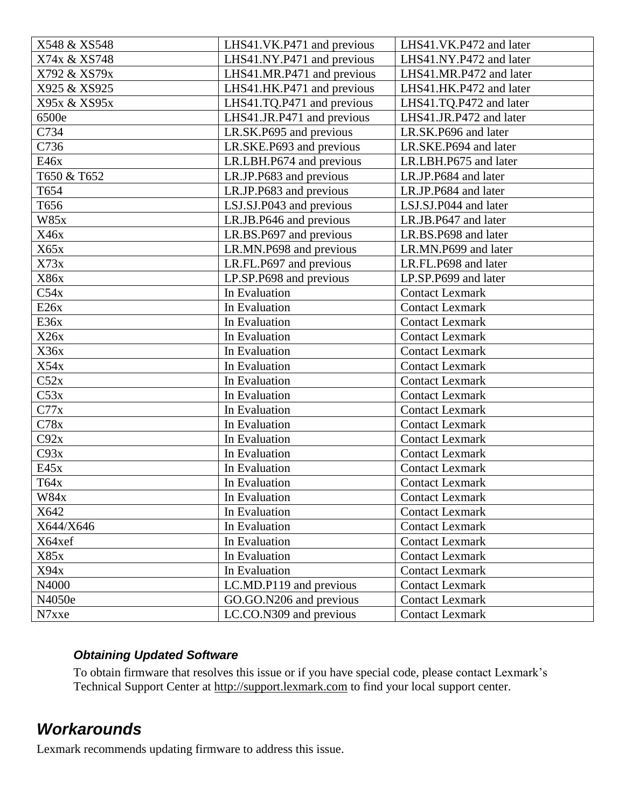| X548 & XS548               | LHS41.VK.P471 and previous | LHS41.VK.P472 and later |
|----------------------------|----------------------------|-------------------------|
| X74x & XS748               | LHS41.NY.P471 and previous | LHS41.NY.P472 and later |
| X792 & XS79x               | LHS41.MR.P471 and previous | LHS41.MR.P472 and later |
| X925 & XS925               | LHS41.HK.P471 and previous | LHS41.HK.P472 and later |
| X95x & XS95x               | LHS41.TQ.P471 and previous | LHS41.TQ.P472 and later |
| 6500e                      | LHS41.JR.P471 and previous | LHS41.JR.P472 and later |
| C734                       | LR.SK.P695 and previous    | LR.SK.P696 and later    |
| C736                       | LR.SKE.P693 and previous   |                         |
| E46x                       | LR.LBH.P674 and previous   | LR.LBH.P675 and later   |
| T650 & T652                | LR.JP.P683 and previous    | LR.JP.P684 and later    |
| T654                       | LR.JP.P683 and previous    | LR.JP.P684 and later    |
| T656                       | LSJ.SJ.P043 and previous   | LSJ.SJ.P044 and later   |
| <b>W85x</b>                | LR.JB.P646 and previous    | LR.JB.P647 and later    |
| X46x                       | LR.BS.P697 and previous    |                         |
| X65x                       | LR.MN.P698 and previous    | LR.MN.P699 and later    |
| X73x                       | LR.FL.P697 and previous    | LR.FL.P698 and later    |
| X86x                       | LP.SP.P698 and previous    | LP.SP.P699 and later    |
| C54x                       | In Evaluation              | <b>Contact Lexmark</b>  |
| E26x                       | In Evaluation              | <b>Contact Lexmark</b>  |
| E36x                       | In Evaluation              | <b>Contact Lexmark</b>  |
| X26x                       | In Evaluation              | <b>Contact Lexmark</b>  |
| X36x                       | In Evaluation              | <b>Contact Lexmark</b>  |
| X54x                       | In Evaluation              | <b>Contact Lexmark</b>  |
| C52x                       | In Evaluation              | <b>Contact Lexmark</b>  |
| C53x                       | In Evaluation              | <b>Contact Lexmark</b>  |
| C77x                       | In Evaluation              | <b>Contact Lexmark</b>  |
| C78x                       | In Evaluation              | <b>Contact Lexmark</b>  |
| C92x                       | In Evaluation              | <b>Contact Lexmark</b>  |
| C93x                       | In Evaluation              | <b>Contact Lexmark</b>  |
| E45x                       | In Evaluation              | <b>Contact Lexmark</b>  |
| T64x                       | In Evaluation              | <b>Contact Lexmark</b>  |
| W84x                       | In Evaluation              | <b>Contact Lexmark</b>  |
| X642                       | In Evaluation              | <b>Contact Lexmark</b>  |
| X644/X646<br>In Evaluation |                            | <b>Contact Lexmark</b>  |
| X64xef                     | In Evaluation              |                         |
| X85x                       | In Evaluation              | <b>Contact Lexmark</b>  |
| X94x                       | In Evaluation              | <b>Contact Lexmark</b>  |
| N4000                      | LC.MD.P119 and previous    | <b>Contact Lexmark</b>  |
| N4050e                     | GO.GO.N206 and previous    | <b>Contact Lexmark</b>  |
| N7xxe                      | LC.CO.N309 and previous    | <b>Contact Lexmark</b>  |

#### *Obtaining Updated Software*

To obtain firmware that resolves this issue or if you have special code, please contact Lexmark's Technical Support Center at [http://support.lexmark.com](http://support.lexmark.com/) to find your local support center.

### *Workarounds*

Lexmark recommends updating firmware to address this issue.